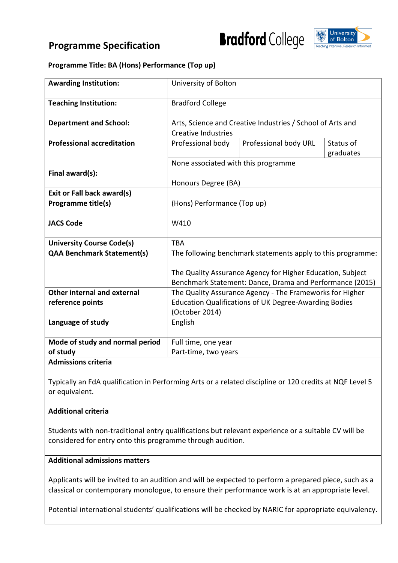# **Programme Specification**



#### **Programme Title: BA (Hons) Performance (Top up)**

| <b>Awarding Institution:</b>      | University of Bolton                                                                     |                                                                                                                           |  |  |  |  |  |  |  |
|-----------------------------------|------------------------------------------------------------------------------------------|---------------------------------------------------------------------------------------------------------------------------|--|--|--|--|--|--|--|
| <b>Teaching Institution:</b>      | <b>Bradford College</b>                                                                  |                                                                                                                           |  |  |  |  |  |  |  |
| <b>Department and School:</b>     | Arts, Science and Creative Industries / School of Arts and<br><b>Creative Industries</b> |                                                                                                                           |  |  |  |  |  |  |  |
| <b>Professional accreditation</b> | Professional body URL<br>Status of<br>Professional body<br>graduates                     |                                                                                                                           |  |  |  |  |  |  |  |
|                                   | None associated with this programme                                                      |                                                                                                                           |  |  |  |  |  |  |  |
| Final award(s):                   | Honours Degree (BA)                                                                      |                                                                                                                           |  |  |  |  |  |  |  |
| Exit or Fall back award(s)        |                                                                                          |                                                                                                                           |  |  |  |  |  |  |  |
| <b>Programme title(s)</b>         | (Hons) Performance (Top up)                                                              |                                                                                                                           |  |  |  |  |  |  |  |
| <b>JACS Code</b>                  | W410                                                                                     |                                                                                                                           |  |  |  |  |  |  |  |
| <b>University Course Code(s)</b>  | <b>TBA</b>                                                                               |                                                                                                                           |  |  |  |  |  |  |  |
| <b>QAA Benchmark Statement(s)</b> |                                                                                          | The following benchmark statements apply to this programme:<br>The Quality Assurance Agency for Higher Education, Subject |  |  |  |  |  |  |  |
|                                   |                                                                                          | Benchmark Statement: Dance, Drama and Performance (2015)                                                                  |  |  |  |  |  |  |  |
| Other internal and external       |                                                                                          | The Quality Assurance Agency - The Frameworks for Higher                                                                  |  |  |  |  |  |  |  |
| reference points                  | <b>Education Qualifications of UK Degree-Awarding Bodies</b><br>(October 2014)           |                                                                                                                           |  |  |  |  |  |  |  |
| Language of study                 | English                                                                                  |                                                                                                                           |  |  |  |  |  |  |  |
| Mode of study and normal period   | Full time, one year                                                                      |                                                                                                                           |  |  |  |  |  |  |  |
| of study                          | Part-time, two years                                                                     |                                                                                                                           |  |  |  |  |  |  |  |

#### **Admissions criteria**

Typically an FdA qualification in Performing Arts or a related discipline or 120 credits at NQF Level 5 or equivalent.

#### **Additional criteria**

Students with non-traditional entry qualifications but relevant experience or a suitable CV will be considered for entry onto this programme through audition.

# **Additional admissions matters**

Applicants will be invited to an audition and will be expected to perform a prepared piece, such as a classical or contemporary monologue, to ensure their performance work is at an appropriate level.

Potential international students' qualifications will be checked by NARIC for appropriate equivalency.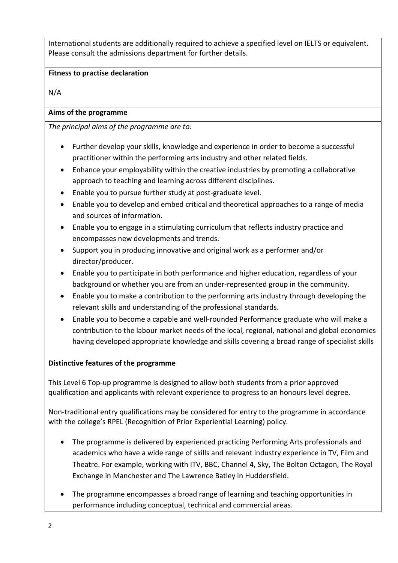International students are additionally required to achieve a specified level on IELTS or equivalent. Please consult the admissions department for further details.

# **Fitness to practise declaration**

N/A

# **Aims of the programme**

*The principal aims of the programme are to:*

- Further develop your skills, knowledge and experience in order to become a successful practitioner within the performing arts industry and other related fields.
- Enhance your employability within the creative industries by promoting a collaborative approach to teaching and learning across different disciplines.
- Enable you to pursue further study at post-graduate level.
- Enable you to develop and embed critical and theoretical approaches to a range of media and sources of information.
- Enable you to engage in a stimulating curriculum that reflects industry practice and encompasses new developments and trends.
- Support you in producing innovative and original work as a performer and/or director/producer.
- Enable you to participate in both performance and higher education, regardless of your background or whether you are from an under-represented group in the community.
- Enable you to make a contribution to the performing arts industry through developing the relevant skills and understanding of the professional standards.
- Enable you to become a capable and well-rounded Performance graduate who will make a contribution to the labour market needs of the local, regional, national and global economies having developed appropriate knowledge and skills covering a broad range of specialist skills

# **Distinctive features of the programme**

This Level 6 Top-up programme is designed to allow both students from a prior approved qualification and applicants with relevant experience to progress to an honours level degree.

Non-traditional entry qualifications may be considered for entry to the programme in accordance with the college's RPEL (Recognition of Prior Experiential Learning) policy.

- The programme is delivered by experienced practicing Performing Arts professionals and academics who have a wide range of skills and relevant industry experience in TV, Film and Theatre. For example, working with ITV, BBC, Channel 4, Sky, The Bolton Octagon, The Royal Exchange in Manchester and The Lawrence Batley in Huddersfield.
- The programme encompasses a broad range of learning and teaching opportunities in performance including conceptual, technical and commercial areas.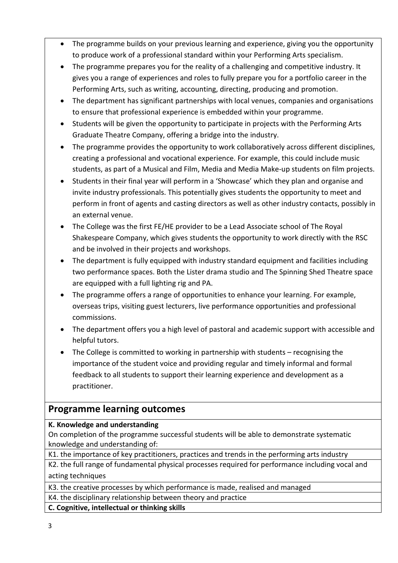- The programme builds on your previous learning and experience, giving you the opportunity to produce work of a professional standard within your Performing Arts specialism.
- The programme prepares you for the reality of a challenging and competitive industry. It gives you a range of experiences and roles to fully prepare you for a portfolio career in the Performing Arts, such as writing, accounting, directing, producing and promotion.
- The department has significant partnerships with local venues, companies and organisations to ensure that professional experience is embedded within your programme.
- Students will be given the opportunity to participate in projects with the Performing Arts Graduate Theatre Company, offering a bridge into the industry.
- The programme provides the opportunity to work collaboratively across different disciplines, creating a professional and vocational experience. For example, this could include music students, as part of a Musical and Film, Media and Media Make-up students on film projects.
- Students in their final year will perform in a 'Showcase' which they plan and organise and invite industry professionals. This potentially gives students the opportunity to meet and perform in front of agents and casting directors as well as other industry contacts, possibly in an external venue.
- The College was the first FE/HE provider to be a Lead Associate school of The Royal Shakespeare Company, which gives students the opportunity to work directly with the RSC and be involved in their projects and workshops.
- The department is fully equipped with industry standard equipment and facilities including two performance spaces. Both the Lister drama studio and The Spinning Shed Theatre space are equipped with a full lighting rig and PA.
- The programme offers a range of opportunities to enhance your learning. For example, overseas trips, visiting guest lecturers, live performance opportunities and professional commissions.
- The department offers you a high level of pastoral and academic support with accessible and helpful tutors.
- The College is committed to working in partnership with students recognising the importance of the student voice and providing regular and timely informal and formal feedback to all students to support their learning experience and development as a practitioner.

# **Programme learning outcomes**

# **K. Knowledge and understanding**

On completion of the programme successful students will be able to demonstrate systematic knowledge and understanding of:

K1. the importance of key practitioners, practices and trends in the performing arts industry

K2. the full range of fundamental physical processes required for performance including vocal and acting techniques

K3. the creative processes by which performance is made, realised and managed K4. the disciplinary relationship between theory and practice

**C. Cognitive, intellectual or thinking skills**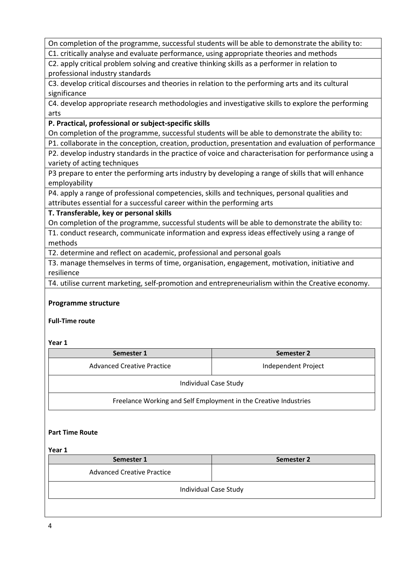On completion of the programme, successful students will be able to demonstrate the ability to:

C1. critically analyse and evaluate performance, using appropriate theories and methods

C2. apply critical problem solving and creative thinking skills as a performer in relation to professional industry standards

C3. develop critical discourses and theories in relation to the performing arts and its cultural significance

C4. develop appropriate research methodologies and investigative skills to explore the performing arts

# **P. Practical, professional or subject-specific skills**

On completion of the programme, successful students will be able to demonstrate the ability to:

P1. collaborate in the conception, creation, production, presentation and evaluation of performance

P2. develop industry standards in the practice of voice and characterisation for performance using a variety of acting techniques

P3 prepare to enter the performing arts industry by developing a range of skills that will enhance employability

P4. apply a range of professional competencies, skills and techniques, personal qualities and attributes essential for a successful career within the performing arts

**T. Transferable, key or personal skills**

On completion of the programme, successful students will be able to demonstrate the ability to:

T1. conduct research, communicate information and express ideas effectively using a range of methods

T2. determine and reflect on academic, professional and personal goals

T3. manage themselves in terms of time, organisation, engagement, motivation, initiative and resilience

T4. utilise current marketing, self-promotion and entrepreneurialism within the Creative economy.

## **Programme structure**

**Full-Time route**

**Year 1**

| Semester 1                                                       | Semester 2          |  |  |  |  |  |  |  |
|------------------------------------------------------------------|---------------------|--|--|--|--|--|--|--|
| Advanced Creative Practice                                       | Independent Project |  |  |  |  |  |  |  |
| Individual Case Study                                            |                     |  |  |  |  |  |  |  |
| Freelance Working and Self Employment in the Creative Industries |                     |  |  |  |  |  |  |  |

#### **Part Time Route**

#### **Year 1**

| Semester 1                        | Semester 2 |  |  |  |  |  |  |  |  |
|-----------------------------------|------------|--|--|--|--|--|--|--|--|
| <b>Advanced Creative Practice</b> |            |  |  |  |  |  |  |  |  |
| <b>Individual Case Study</b>      |            |  |  |  |  |  |  |  |  |
|                                   |            |  |  |  |  |  |  |  |  |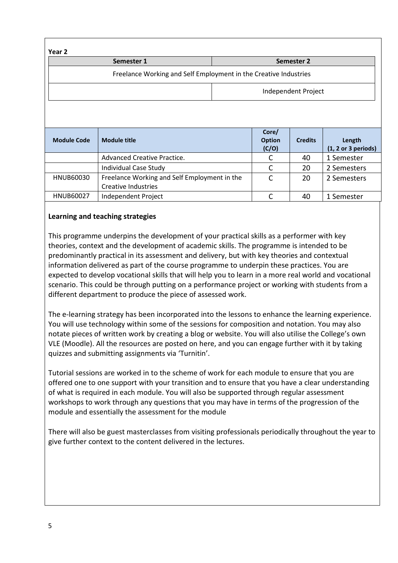| Year 2                                                           |                                                                     |            |                                 |                |                               |  |  |  |  |  |  |
|------------------------------------------------------------------|---------------------------------------------------------------------|------------|---------------------------------|----------------|-------------------------------|--|--|--|--|--|--|
|                                                                  | Semester 1                                                          | Semester 2 |                                 |                |                               |  |  |  |  |  |  |
| Freelance Working and Self Employment in the Creative Industries |                                                                     |            |                                 |                |                               |  |  |  |  |  |  |
|                                                                  |                                                                     |            | Independent Project             |                |                               |  |  |  |  |  |  |
|                                                                  |                                                                     |            |                                 |                |                               |  |  |  |  |  |  |
| <b>Module Code</b>                                               | <b>Module title</b>                                                 |            | Core/<br><b>Option</b><br>(C/O) | <b>Credits</b> | Length<br>(1, 2 or 3 periods) |  |  |  |  |  |  |
|                                                                  | Advanced Creative Practice.                                         |            | C                               | 40             | 1 Semester                    |  |  |  |  |  |  |
|                                                                  | Individual Case Study                                               |            | C                               | 20             | 2 Semesters                   |  |  |  |  |  |  |
| HNUB60030                                                        | Freelance Working and Self Employment in the<br>Creative Industries |            | C                               | 20             | 2 Semesters                   |  |  |  |  |  |  |
| HNUB60027                                                        | Independent Project                                                 |            | C                               | 40             | 1 Semester                    |  |  |  |  |  |  |

# **Learning and teaching strategies**

This programme underpins the development of your practical skills as a performer with key theories, context and the development of academic skills. The programme is intended to be predominantly practical in its assessment and delivery, but with key theories and contextual information delivered as part of the course programme to underpin these practices. You are expected to develop vocational skills that will help you to learn in a more real world and vocational scenario. This could be through putting on a performance project or working with students from a different department to produce the piece of assessed work.

The e-learning strategy has been incorporated into the lessons to enhance the learning experience. You will use technology within some of the sessions for composition and notation. You may also notate pieces of written work by creating a blog or website. You will also utilise the College's own VLE (Moodle). All the resources are posted on here, and you can engage further with it by taking quizzes and submitting assignments via 'Turnitin'.

Tutorial sessions are worked in to the scheme of work for each module to ensure that you are offered one to one support with your transition and to ensure that you have a clear understanding of what is required in each module. You will also be supported through regular assessment workshops to work through any questions that you may have in terms of the progression of the module and essentially the assessment for the module

There will also be guest masterclasses from visiting professionals periodically throughout the year to give further context to the content delivered in the lectures.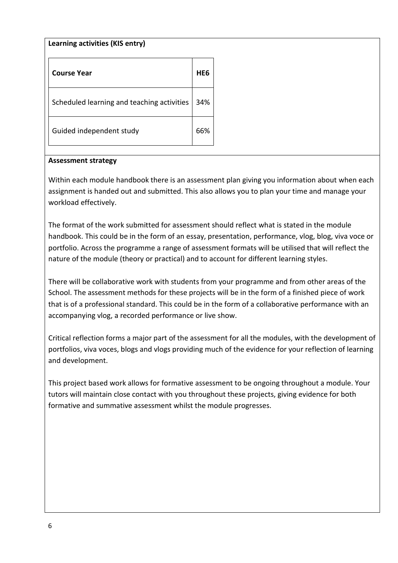## **Learning activities (KIS entry)**

| <b>Course Year</b>                         | HF6 |
|--------------------------------------------|-----|
| Scheduled learning and teaching activities | 34% |
| Guided independent study                   |     |

#### **Assessment strategy**

Within each module handbook there is an assessment plan giving you information about when each assignment is handed out and submitted. This also allows you to plan your time and manage your workload effectively.

The format of the work submitted for assessment should reflect what is stated in the module handbook. This could be in the form of an essay, presentation, performance, vlog, blog, viva voce or portfolio. Across the programme a range of assessment formats will be utilised that will reflect the nature of the module (theory or practical) and to account for different learning styles.

There will be collaborative work with students from your programme and from other areas of the School. The assessment methods for these projects will be in the form of a finished piece of work that is of a professional standard. This could be in the form of a collaborative performance with an accompanying vlog, a recorded performance or live show.

Critical reflection forms a major part of the assessment for all the modules, with the development of portfolios, viva voces, blogs and vlogs providing much of the evidence for your reflection of learning and development.

This project based work allows for formative assessment to be ongoing throughout a module. Your tutors will maintain close contact with you throughout these projects, giving evidence for both formative and summative assessment whilst the module progresses.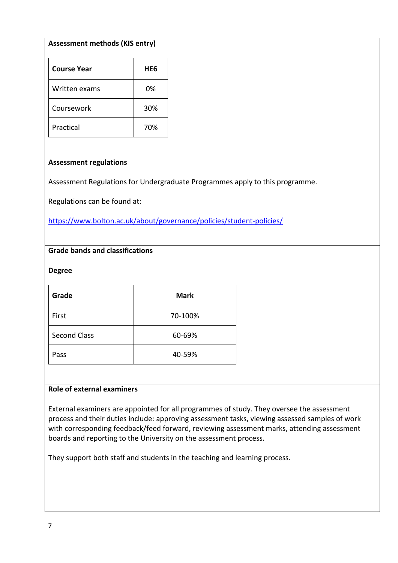# **Assessment methods (KIS entry)**

| <b>Course Year</b> | HE6 |
|--------------------|-----|
| Written exams      | 0%  |
| Coursework         | 30% |
| Practical          | 70% |

#### **Assessment regulations**

Assessment Regulations for Undergraduate Programmes apply to this programme.

Regulations can be found at:

<https://www.bolton.ac.uk/about/governance/policies/student-policies/>

# **Grade bands and classifications**

#### **Degree**

| Grade               | <b>Mark</b> |
|---------------------|-------------|
| First               | 70-100%     |
| <b>Second Class</b> | 60-69%      |
| Pass                | 40-59%      |

## **Role of external examiners**

External examiners are appointed for all programmes of study. They oversee the assessment process and their duties include: approving assessment tasks, viewing assessed samples of work with corresponding feedback/feed forward, reviewing assessment marks, attending assessment boards and reporting to the University on the assessment process.

They support both staff and students in the teaching and learning process.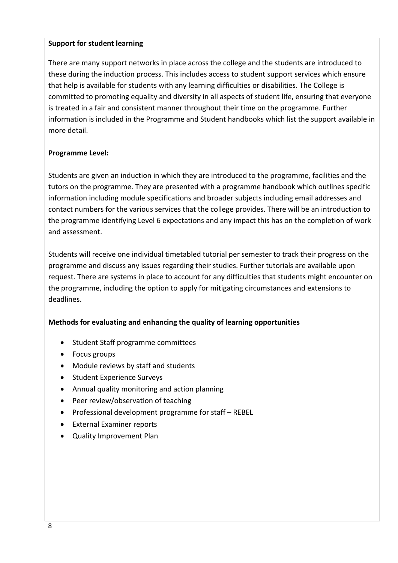# **Support for student learning**

There are many support networks in place across the college and the students are introduced to these during the induction process. This includes access to student support services which ensure that help is available for students with any learning difficulties or disabilities. The College is committed to promoting equality and diversity in all aspects of student life, ensuring that everyone is treated in a fair and consistent manner throughout their time on the programme. Further information is included in the Programme and Student handbooks which list the support available in more detail.

# **Programme Level:**

Students are given an induction in which they are introduced to the programme, facilities and the tutors on the programme. They are presented with a programme handbook which outlines specific information including module specifications and broader subjects including email addresses and contact numbers for the various services that the college provides. There will be an introduction to the programme identifying Level 6 expectations and any impact this has on the completion of work and assessment.

Students will receive one individual timetabled tutorial per semester to track their progress on the programme and discuss any issues regarding their studies. Further tutorials are available upon request. There are systems in place to account for any difficulties that students might encounter on the programme, including the option to apply for mitigating circumstances and extensions to deadlines.

# **Methods for evaluating and enhancing the quality of learning opportunities**

- Student Staff programme committees
- Focus groups
- Module reviews by staff and students
- Student Experience Surveys
- Annual quality monitoring and action planning
- Peer review/observation of teaching
- Professional development programme for staff REBEL
- External Examiner reports
- Quality Improvement Plan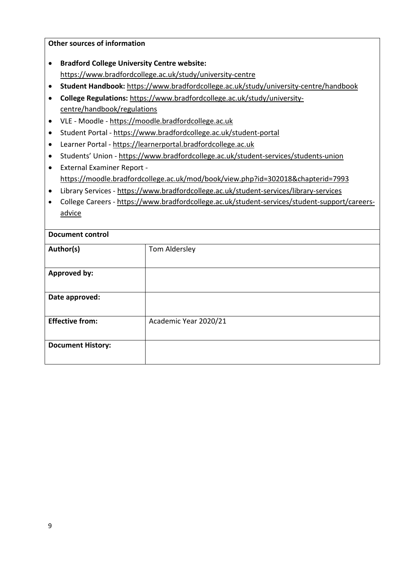**Other sources of information** • **Bradford College University Centre website:**  <https://www.bradfordcollege.ac.uk/study/university-centre> • **Student Handbook:** <https://www.bradfordcollege.ac.uk/study/university-centre/handbook> • **College Regulations:** [https://www.bradfordcollege.ac.uk/study/university](https://www.bradfordcollege.ac.uk/study/university-centre/handbook/regulations)[centre/handbook/regulations](https://www.bradfordcollege.ac.uk/study/university-centre/handbook/regulations) • VLE - Moodle - [https://moodle.bradfordcollege.ac.uk](https://moodle.bradfordcollege.ac.uk/) • Student Portal - <https://www.bradfordcollege.ac.uk/student-portal> • Learner Portal - [https://learnerportal.bradfordcollege.ac.uk](https://learnerportal.bradfordcollege.ac.uk/) • Students' Union - <https://www.bradfordcollege.ac.uk/student-services/students-union> • External Examiner Report <https://moodle.bradfordcollege.ac.uk/mod/book/view.php?id=302018&chapterid=7993> • Library Services - <https://www.bradfordcollege.ac.uk/student-services/library-services> • College Careers - [https://www.bradfordcollege.ac.uk/student-services/student-support/careers](https://www.bradfordcollege.ac.uk/student-services/student-support/careers-advice)[advice](https://www.bradfordcollege.ac.uk/student-services/student-support/careers-advice) **Document control** Author(s) Tom Aldersley **Approved by: Date approved:**

# **Effective from:** Academic Year 2020/21 **Document History:**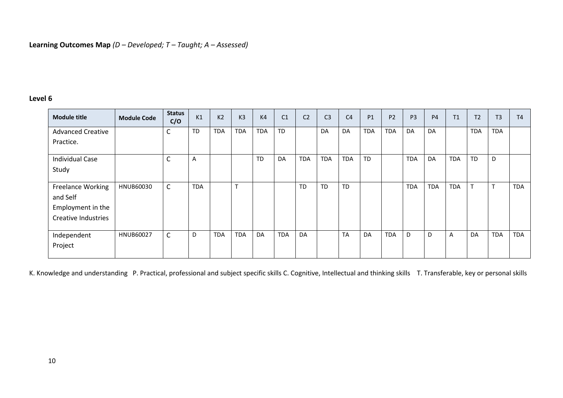# **Level 6**

| <b>Module title</b>        | <b>Module Code</b> | <b>Status</b><br>C/O | K1           | K <sub>2</sub> | K <sub>3</sub> | K <sub>4</sub> | C <sub>1</sub> | C <sub>2</sub> | C <sub>3</sub> | C <sub>4</sub> | <b>P1</b>  | P <sub>2</sub> | P <sub>3</sub> | P <sub>4</sub> | T1         | T2         | T <sub>3</sub> | T <sub>4</sub> |
|----------------------------|--------------------|----------------------|--------------|----------------|----------------|----------------|----------------|----------------|----------------|----------------|------------|----------------|----------------|----------------|------------|------------|----------------|----------------|
| <b>Advanced Creative</b>   |                    | $\mathsf C$          | <b>TD</b>    | <b>TDA</b>     | <b>TDA</b>     | <b>TDA</b>     | <b>TD</b>      |                | DA             | DA             | <b>TDA</b> | <b>TDA</b>     | DA             | DA             |            | <b>TDA</b> | <b>TDA</b>     |                |
| Practice.                  |                    |                      |              |                |                |                |                |                |                |                |            |                |                |                |            |            |                |                |
| <b>Individual Case</b>     |                    | $\mathsf C$          | $\mathsf{A}$ |                |                | <b>TD</b>      | DA             | <b>TDA</b>     | <b>TDA</b>     | <b>TDA</b>     | <b>TD</b>  |                | <b>TDA</b>     | DA             | <b>TDA</b> | <b>TD</b>  | D              |                |
| Study                      |                    |                      |              |                |                |                |                |                |                |                |            |                |                |                |            |            |                |                |
| Freelance Working          | HNUB60030          | $\mathsf{C}$         | <b>TDA</b>   |                | $\mathbf$      |                |                | <b>TD</b>      | <b>TD</b>      | TD             |            |                | <b>TDA</b>     | <b>TDA</b>     | <b>TDA</b> | T          | $\mathbf$      | <b>TDA</b>     |
| and Self                   |                    |                      |              |                |                |                |                |                |                |                |            |                |                |                |            |            |                |                |
| Employment in the          |                    |                      |              |                |                |                |                |                |                |                |            |                |                |                |            |            |                |                |
| <b>Creative Industries</b> |                    |                      |              |                |                |                |                |                |                |                |            |                |                |                |            |            |                |                |
| Independent                | <b>HNUB60027</b>   | $\mathsf{C}$         | D            | <b>TDA</b>     | <b>TDA</b>     | DA             | <b>TDA</b>     | DA             |                | <b>TA</b>      | DA         | <b>TDA</b>     | D              | D              | A          | DA         | <b>TDA</b>     | <b>TDA</b>     |
| Project                    |                    |                      |              |                |                |                |                |                |                |                |            |                |                |                |            |            |                |                |

K. Knowledge and understanding P. Practical, professional and subject specific skills C. Cognitive, Intellectual and thinking skills T. Transferable, key or personal skills